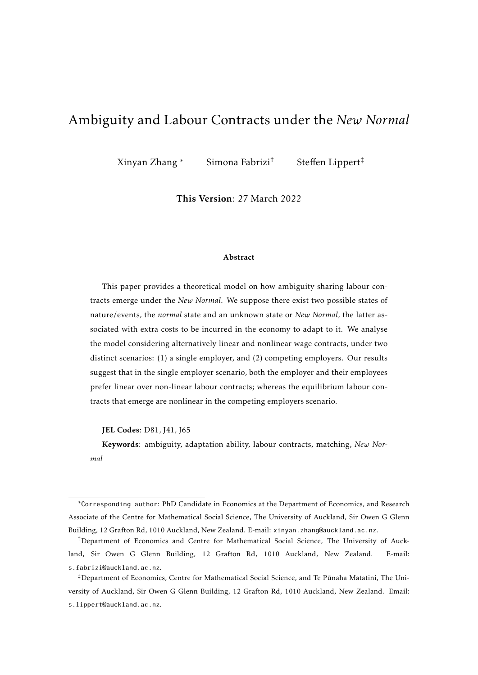# Ambiguity and Labour Contracts under the *New Normal*

Xinyan Zhang \* Simona Fabrizi† Steffen Lippert‡

This Version: 27 March 2022

#### Abstract

This paper provides a theoretical model on how ambiguity sharing labour contracts emerge under the *New Normal*. We suppose there exist two possible states of nature/events, the *normal* state and an unknown state or *New Normal*, the latter associated with extra costs to be incurred in the economy to adapt to it. We analyse the model considering alternatively linear and nonlinear wage contracts, under two distinct scenarios: (1) a single employer, and (2) competing employers. Our results suggest that in the single employer scenario, both the employer and their employees prefer linear over non-linear labour contracts; whereas the equilibrium labour contracts that emerge are nonlinear in the competing employers scenario.

JEL Codes: D81, J41, J65

Keywords: ambiguity, adaptation ability, labour contracts, matching, *New Normal*

<sup>\*</sup>Corresponding author: PhD Candidate in Economics at the Department of Economics, and Research Associate of the Centre for Mathematical Social Science, The University of Auckland, Sir Owen G Glenn Building, 12 Grafton Rd, 1010 Auckland, New Zealand. E-mail: xinyan.zhang@auckland.ac.nz.

<sup>†</sup>Department of Economics and Centre for Mathematical Social Science, The University of Auckland, Sir Owen G Glenn Building, 12 Grafton Rd, 1010 Auckland, New Zealand. E-mail: s.fabrizi@auckland.ac.nz.

<sup>‡</sup>Department of Economics, Centre for Mathematical Social Science, and Te Punaha Matatini, The Uni- ¯ versity of Auckland, Sir Owen G Glenn Building, 12 Grafton Rd, 1010 Auckland, New Zealand. Email: s.lippert@auckland.ac.nz.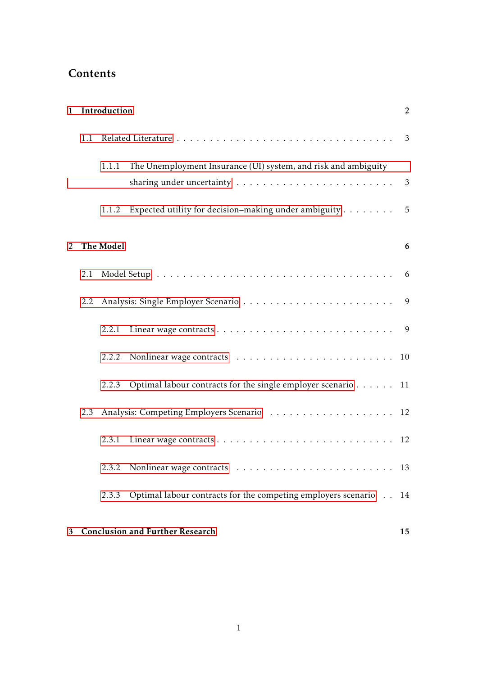# Contents

| 1 |     | Introduction |                                                                            |   |  |  |  |
|---|-----|--------------|----------------------------------------------------------------------------|---|--|--|--|
|   | 1.1 |              |                                                                            |   |  |  |  |
|   |     | 1.1.1        | The Unemployment Insurance (UI) system, and risk and ambiguity             | 3 |  |  |  |
|   |     | 1.1.2        | Expected utility for decision–making under ambiguity $\dots \dots \dots$ 5 |   |  |  |  |
| 2 |     | The Model    |                                                                            |   |  |  |  |
|   | 2.1 |              |                                                                            |   |  |  |  |
|   | 2.2 |              |                                                                            |   |  |  |  |
|   |     | 2.2.1        |                                                                            |   |  |  |  |
|   |     |              |                                                                            |   |  |  |  |
|   |     | 2.2.3        | Optimal labour contracts for the single employer scenario 11               |   |  |  |  |
|   | 2.3 |              |                                                                            |   |  |  |  |
|   |     | 2.3.1        |                                                                            |   |  |  |  |
|   |     | 2.3.2        |                                                                            |   |  |  |  |
|   |     | 2.3.3        | Optimal labour contracts for the competing employers scenario 14           |   |  |  |  |
|   |     |              |                                                                            |   |  |  |  |

# [3 Conclusion and Further Research](#page-15-0) 15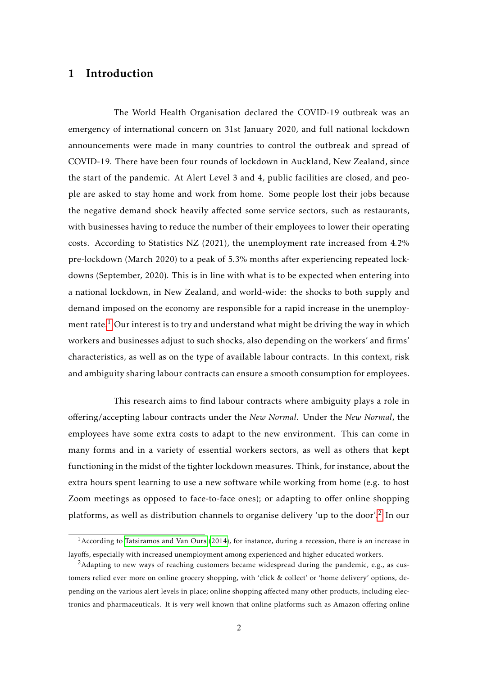## <span id="page-2-0"></span>1 Introduction

The World Health Organisation declared the COVID-19 outbreak was an emergency of international concern on 31st January 2020, and full national lockdown announcements were made in many countries to control the outbreak and spread of COVID-19. There have been four rounds of lockdown in Auckland, New Zealand, since the start of the pandemic. At Alert Level 3 and 4, public facilities are closed, and people are asked to stay home and work from home. Some people lost their jobs because the negative demand shock heavily affected some service sectors, such as restaurants, with businesses having to reduce the number of their employees to lower their operating costs. According to Statistics NZ (2021), the unemployment rate increased from 4*.*2% pre-lockdown (March 2020) to a peak of 5*.*3% months after experiencing repeated lockdowns (September, 2020). This is in line with what is to be expected when entering into a national lockdown, in New Zealand, and world-wide: the shocks to both supply and demand imposed on the economy are responsible for a rapid increase in the unemploy-ment rate.<sup>[1](#page-2-1)</sup> Our interest is to try and understand what might be driving the way in which workers and businesses adjust to such shocks, also depending on the workers' and firms' characteristics, as well as on the type of available labour contracts. In this context, risk and ambiguity sharing labour contracts can ensure a smooth consumption for employees.

This research aims to find labour contracts where ambiguity plays a role in offering/accepting labour contracts under the *New Normal*. Under the *New Normal*, the employees have some extra costs to adapt to the new environment. This can come in many forms and in a variety of essential workers sectors, as well as others that kept functioning in the midst of the tighter lockdown measures. Think, for instance, about the extra hours spent learning to use a new software while working from home (e.g. to host Zoom meetings as opposed to face-to-face ones); or adapting to offer online shopping platforms, as well as distribution channels to organise delivery 'up to the door'.<sup>[2](#page-2-2)</sup> In our

<span id="page-2-1"></span><sup>&</sup>lt;sup>1</sup> According to [Tatsiramos and Van Ours](#page-19-0) [\(2014\)](#page-19-0), for instance, during a recession, there is an increase in layoffs, especially with increased unemployment among experienced and higher educated workers.

<span id="page-2-2"></span><sup>&</sup>lt;sup>2</sup>Adapting to new ways of reaching customers became widespread during the pandemic, e.g., as customers relied ever more on online grocery shopping, with 'click & collect' or 'home delivery' options, depending on the various alert levels in place; online shopping affected many other products, including electronics and pharmaceuticals. It is very well known that online platforms such as Amazon offering online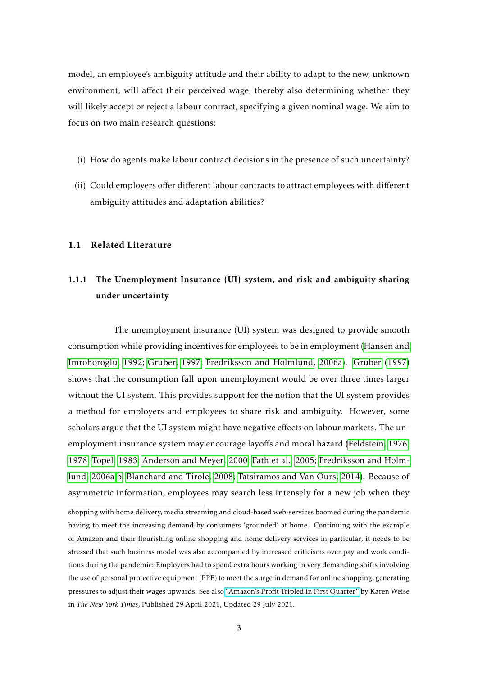model, an employee's ambiguity attitude and their ability to adapt to the new, unknown environment, will affect their perceived wage, thereby also determining whether they will likely accept or reject a labour contract, specifying a given nominal wage. We aim to focus on two main research questions:

- (i) How do agents make labour contract decisions in the presence of such uncertainty?
- (ii) Could employers offer different labour contracts to attract employees with different ambiguity attitudes and adaptation abilities?

### <span id="page-3-1"></span><span id="page-3-0"></span>1.1 Related Literature

# 1.1.1 The Unemployment Insurance (UI) system, and risk and ambiguity sharing under uncertainty

The unemployment insurance (UI) system was designed to provide smooth consumption while providing incentives for employees to be in employment [\(Hansen and](#page-18-0) [Imrohoroglu, 1992;](#page-18-0) [Gruber, 1997;](#page-18-1) [Fredriksson and Holmlund, 2006a\)](#page-17-0). [Gruber](#page-18-1) [\(1997\)](#page-18-1) ˘ shows that the consumption fall upon unemployment would be over three times larger without the UI system. This provides support for the notion that the UI system provides a method for employers and employees to share risk and ambiguity. However, some scholars argue that the UI system might have negative effects on labour markets. The unemployment insurance system may encourage layoffs and moral hazard [\(Feldstein, 1976,](#page-17-1) [1978;](#page-17-2) [Topel, 1983;](#page-19-1) [Anderson and Meyer, 2000;](#page-17-3) [Fath et al., 2005;](#page-17-4) [Fredriksson and Holm](#page-17-0)[lund, 2006a,](#page-17-0)[b;](#page-17-5) [Blanchard and Tirole, 2008;](#page-17-6) [Tatsiramos and Van Ours, 2014\)](#page-19-0). Because of asymmetric information, employees may search less intensely for a new job when they

shopping with home delivery, media streaming and cloud-based web-services boomed during the pandemic having to meet the increasing demand by consumers 'grounded' at home. Continuing with the example of Amazon and their flourishing online shopping and home delivery services in particular, it needs to be stressed that such business model was also accompanied by increased criticisms over pay and work conditions during the pandemic: Employers had to spend extra hours working in very demanding shifts involving the use of personal protective equipment (PPE) to meet the surge in demand for online shopping, generating pressures to adjust their wages upwards. See also ["Amazon's Profit Tripled in First Quarter"](https://www.nytimes.com/2021/04/29/technology/amazons-profits-triple.html) by Karen Weise in *The New York Times*, Published 29 April 2021, Updated 29 July 2021.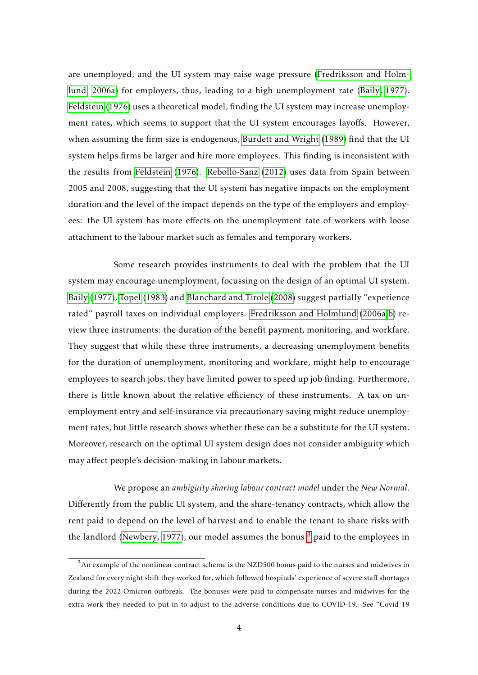are unemployed, and the UI system may raise wage pressure [\(Fredriksson and Holm](#page-17-0)[lund, 2006a\)](#page-17-0) for employers, thus, leading to a high unemployment rate [\(Baily, 1977\)](#page-17-7). [Feldstein](#page-17-1) [\(1976\)](#page-17-1) uses a theoretical model, finding the UI system may increase unemployment rates, which seems to support that the UI system encourages layoffs. However, when assuming the firm size is endogenous, [Burdett and Wright](#page-17-8) [\(1989\)](#page-17-8) find that the UI system helps firms be larger and hire more employees. This finding is inconsistent with the results from [Feldstein](#page-17-1) [\(1976\)](#page-17-1). [Rebollo-Sanz](#page-18-2) [\(2012\)](#page-18-2) uses data from Spain between 2005 and 2008, suggesting that the UI system has negative impacts on the employment duration and the level of the impact depends on the type of the employers and employees: the UI system has more effects on the unemployment rate of workers with loose attachment to the labour market such as females and temporary workers.

Some research provides instruments to deal with the problem that the UI system may encourage unemployment, focussing on the design of an optimal UI system. [Baily](#page-17-7) [\(1977\)](#page-17-7), [Topel](#page-19-1) [\(1983\)](#page-19-1) and [Blanchard and Tirole](#page-17-6) [\(2008\)](#page-17-6) suggest partially "experience rated" payroll taxes on individual employers. [Fredriksson and Holmlund](#page-17-0) [\(2006a,](#page-17-0)[b\)](#page-17-5) review three instruments: the duration of the benefit payment, monitoring, and workfare. They suggest that while these three instruments, a decreasing unemployment benefits for the duration of unemployment, monitoring and workfare, might help to encourage employees to search jobs, they have limited power to speed up job finding. Furthermore, there is little known about the relative efficiency of these instruments. A tax on unemployment entry and self-insurance via precautionary saving might reduce unemployment rates, but little research shows whether these can be a substitute for the UI system. Moreover, research on the optimal UI system design does not consider ambiguity which may affect people's decision-making in labour markets.

We propose an *ambiguity sharing labour contract model* under the *New Normal*. Differently from the public UI system, and the share-tenancy contracts, which allow the rent paid to depend on the level of harvest and to enable the tenant to share risks with the landlord [\(Newbery, 1977\)](#page-18-3), our model assumes the bonus  $3$  paid to the employees in

<span id="page-4-0"></span> $3$ An example of the nonlinear contract scheme is the NZD500 bonus paid to the nurses and midwives in Zealand for every night shift they worked for, which followed hospitals' experience of severe staff shortages during the 2022 Omicron outbreak. The bonuses were paid to compensate nurses and midwives for the extra work they needed to put in to adjust to the adverse conditions due to COVID-19. See "Covid 19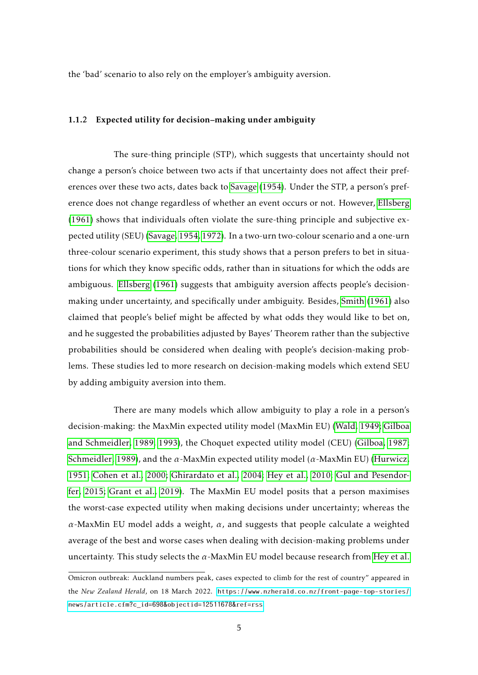the 'bad' scenario to also rely on the employer's ambiguity aversion.

## <span id="page-5-0"></span>1.1.2 Expected utility for decision–making under ambiguity

The sure-thing principle (STP), which suggests that uncertainty should not change a person's choice between two acts if that uncertainty does not affect their preferences over these two acts, dates back to [Savage](#page-19-2) [\(1954\)](#page-19-2). Under the STP, a person's preference does not change regardless of whether an event occurs or not. However, [Ellsberg](#page-17-9) [\(1961\)](#page-17-9) shows that individuals often violate the sure-thing principle and subjective expected utility (SEU) [\(Savage, 1954,](#page-19-2) [1972\)](#page-19-3). In a two-urn two-colour scenario and a one-urn three-colour scenario experiment, this study shows that a person prefers to bet in situations for which they know specific odds, rather than in situations for which the odds are ambiguous. [Ellsberg](#page-17-9) [\(1961\)](#page-17-9) suggests that ambiguity aversion affects people's decisionmaking under uncertainty, and specifically under ambiguity. Besides, [Smith](#page-19-4) [\(1961\)](#page-19-4) also claimed that people's belief might be affected by what odds they would like to bet on, and he suggested the probabilities adjusted by Bayes' Theorem rather than the subjective probabilities should be considered when dealing with people's decision-making problems. These studies led to more research on decision-making models which extend SEU by adding ambiguity aversion into them.

There are many models which allow ambiguity to play a role in a person's decision-making: the MaxMin expected utility model (MaxMin EU) [\(Wald, 1949;](#page-19-5) [Gilboa](#page-18-4) [and Schmeidler, 1989,](#page-18-4) [1993\)](#page-18-5), the Choquet expected utility model (CEU) [\(Gilboa, 1987;](#page-18-6) [Schmeidler, 1989\)](#page-19-6), and the *α*-MaxMin expected utility model (*α*-MaxMin EU) [\(Hurwicz,](#page-18-7) [1951;](#page-18-7) [Cohen et al., 2000;](#page-17-10) [Ghirardato et al., 2004;](#page-17-11) [Hey et al., 2010;](#page-18-8) [Gul and Pesendor](#page-18-9)[fer, 2015;](#page-18-9) [Grant et al., 2019\)](#page-18-10). The MaxMin EU model posits that a person maximises the worst-case expected utility when making decisions under uncertainty; whereas the  $\alpha$ -MaxMin EU model adds a weight,  $\alpha$ , and suggests that people calculate a weighted average of the best and worse cases when dealing with decision-making problems under uncertainty. This study selects the *α*-MaxMin EU model because research from [Hey et al.](#page-18-8)

Omicron outbreak: Auckland numbers peak, cases expected to climb for the rest of country" appeared in the *New Zealand Herald*, on 18 March 2022. [https://www.nzherald.co.nz/front-page-top-stories/](https://www.nzherald.co.nz/front-page-top-stories/news/article.cfm?c_id=698&objectid=12511678&ref=rss) [news/article.cfm?c\\_id=698&objectid=12511678&ref=rss](https://www.nzherald.co.nz/front-page-top-stories/news/article.cfm?c_id=698&objectid=12511678&ref=rss).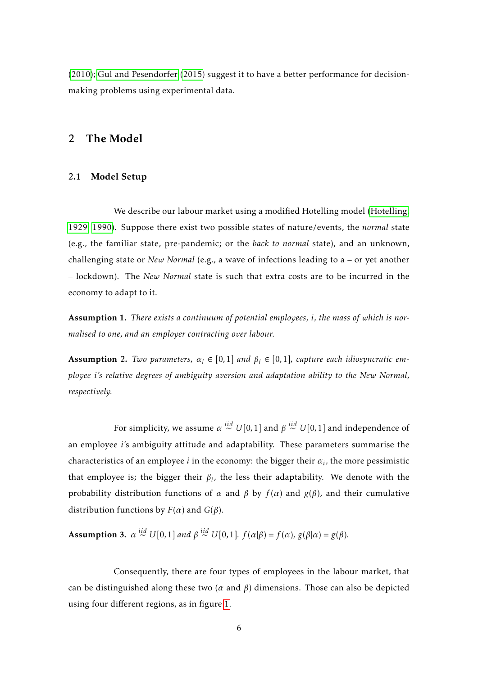[\(2010\)](#page-18-8); [Gul and Pesendorfer](#page-18-9) [\(2015\)](#page-18-9) suggest it to have a better performance for decisionmaking problems using experimental data.

## <span id="page-6-1"></span><span id="page-6-0"></span>2 The Model

## 2.1 Model Setup

We describe our labour market using a modified Hotelling model [\(Hotelling,](#page-18-11) [1929,](#page-18-11) [1990\)](#page-18-12). Suppose there exist two possible states of nature/events, the *normal* state (e.g., the familiar state, pre-pandemic; or the *back to normal* state), and an unknown, challenging state or *New Normal* (e.g., a wave of infections leading to a – or yet another – lockdown). The *New Normal* state is such that extra costs are to be incurred in the economy to adapt to it.

<span id="page-6-2"></span>Assumption 1. *There exists a continuum of potential employees, i, the mass of which is normalised to one, and an employer contracting over labour.*

Assumption 2. *Two parameters,*  $\alpha_i \in [0,1]$  *and*  $\beta_i \in [0,1]$ *, capture each idiosyncratic employee i's relative degrees of ambiguity aversion and adaptation ability to the New Normal, respectively.*

For simplicity, we assume  $\alpha \stackrel{iid}{\sim} U[0,1]$  and  $\beta \stackrel{iid}{\sim} U[0,1]$  and independence of an employee *i*'s ambiguity attitude and adaptability. These parameters summarise the characteristics of an employee  $i$  in the economy: the bigger their  $\alpha_i$ , the more pessimistic that employee is; the bigger their  $\beta_i$ , the less their adaptability. We denote with the probability distribution functions of  $\alpha$  and  $\beta$  by  $f(\alpha)$  and  $g(\beta)$ , and their cumulative distribution functions by  $F(\alpha)$  and  $G(\beta)$ .

<span id="page-6-3"></span>**Assumption 3.**  $\alpha \stackrel{iid}{\sim} U[0,1]$  and  $\beta \stackrel{iid}{\sim} U[0,1]$ .  $f(\alpha|\beta) = f(\alpha)$ ,  $g(\beta|\alpha) = g(\beta)$ .

Consequently, there are four types of employees in the labour market, that can be distinguished along these two ( $\alpha$  and  $\beta$ ) dimensions. Those can also be depicted using four different regions, as in figure [1.](#page-7-0)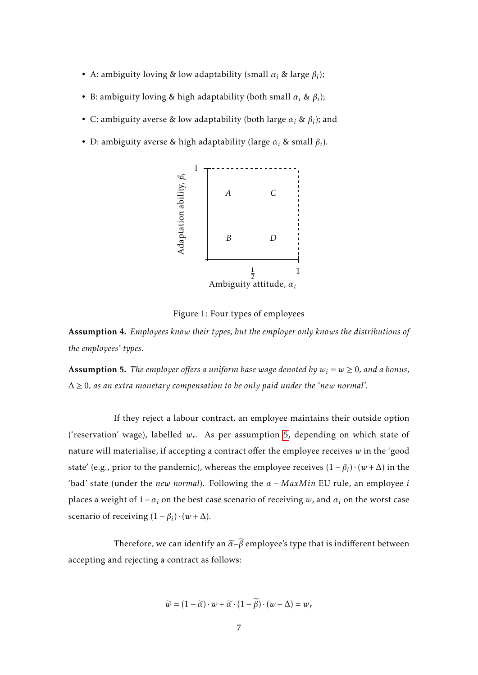- A: ambiguity loving & low adaptability (small  $\alpha_i$  & large  $\beta_i$ );
- B: ambiguity loving & high adaptability (both small  $\alpha_i$  &  $\beta_i$ );
- C: ambiguity averse & low adaptability (both large  $\alpha_i$  &  $\beta_i$ ); and
- D: ambiguity averse & high adaptability (large  $\alpha_i$  & small  $\beta_i$ ).



<span id="page-7-0"></span>Figure 1: Four types of employees

Assumption 4. *Employees know their types, but the employer only knows the distributions of the employees' types.*

<span id="page-7-1"></span>**Assumption 5.** *The employer offers a uniform base wage denoted by*  $w_i = w \geq 0$ , and a bonus, ∆ ≥ 0*, as an extra monetary compensation to be only paid under the 'new normal'.*

If they reject a labour contract, an employee maintains their outside option ('reservation' wage), labelled *w<sup>r</sup>* . As per assumption [5,](#page-7-1) depending on which state of nature will materialise, if accepting a contract offer the employee receives *w* in the 'good state' (e.g., prior to the pandemic), whereas the employee receives  $(1 - \beta_i) \cdot (w + \Delta)$  in the 'bad' state (under the *new normal*). Following the *α* − *MaxMin* EU rule, an employee *i* places a weight of  $1 - \alpha_i$  on the best case scenario of receiving *w*, and  $\alpha_i$  on the worst case scenario of receiving  $(1 - \beta_i) \cdot (w + \Delta)$ .

Therefore, we can identify an  $\tilde{\alpha}$ – $\tilde{\beta}$  employee's type that is indifferent between accepting and rejecting a contract as follows:

$$
\widetilde{w} = (1 - \widetilde{\alpha}) \cdot w + \widetilde{\alpha} \cdot (1 - \widetilde{\beta}) \cdot (w + \Delta) = w_r
$$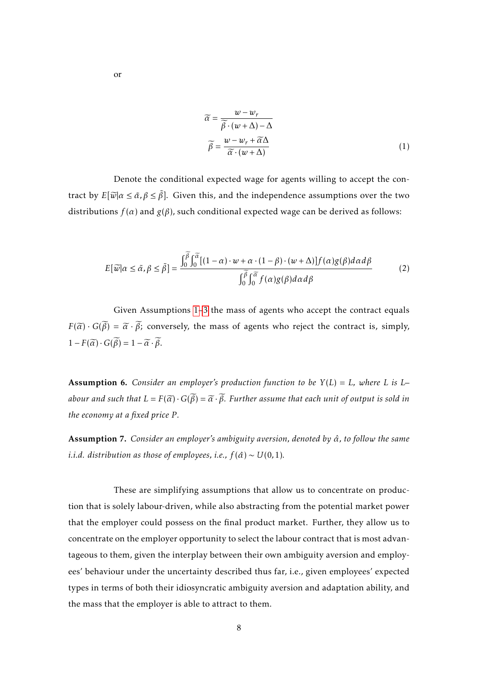$$
\widetilde{\alpha} = \frac{w - w_r}{\widetilde{\beta} \cdot (w + \Delta) - \Delta}
$$
\n
$$
\widetilde{\beta} = \frac{w - w_r + \widetilde{\alpha}\Delta}{\widetilde{\alpha} \cdot (w + \Delta)}
$$
\n(1)

Denote the conditional expected wage for agents willing to accept the contract by  $E[\widetilde{w}|\alpha \leq \tilde{\alpha}, \beta \leq \tilde{\beta}]$ . Given this, and the independence assumptions over the two distributions  $f(\alpha)$  and  $g(\beta)$ , such conditional expected wage can be derived as follows:

$$
E[\widetilde{w}|\alpha \leq \widetilde{\alpha}, \beta \leq \widetilde{\beta}] = \frac{\int_0^{\beta} \int_0^{\widetilde{\alpha}} [(1-\alpha)\cdot w + \alpha\cdot(1-\beta)\cdot(w+\Delta)] f(\alpha)g(\beta)d\alpha d\beta}{\int_0^{\widetilde{\beta}} \int_0^{\widetilde{\alpha}} f(\alpha)g(\beta)d\alpha d\beta}
$$
(2)

Given Assumptions [1](#page-6-2)[–3](#page-6-3) the mass of agents who accept the contract equals  $F(\tilde{\alpha}) \cdot G(\tilde{\beta}) = \tilde{\alpha} \cdot \tilde{\beta}$ ; conversely, the mass of agents who reject the contract is, simply,  $1 - F(\widetilde{\alpha}) \cdot G(\widetilde{\beta}) = 1 - \widetilde{\alpha} \cdot \widetilde{\beta}.$ 

Assumption 6. *Consider an employer's production function to be Y* (*L*) = *L, where L is L– abour and such that*  $L = F(\tilde{\alpha}) \cdot G(\tilde{\beta}) = \tilde{\alpha} \cdot \tilde{\beta}$ . Further assume that each unit of output is sold in *the economy at a fixed price P .*

Assumption 7. *Consider an employer's ambiguity aversion, denoted by α*ˆ*, to follow the same i.i.d. distribution as those of employees, i.e.,*  $f(\hat{\alpha}) \sim U(0,1)$ *.* 

These are simplifying assumptions that allow us to concentrate on production that is solely labour-driven, while also abstracting from the potential market power that the employer could possess on the final product market. Further, they allow us to concentrate on the employer opportunity to select the labour contract that is most advantageous to them, given the interplay between their own ambiguity aversion and employees' behaviour under the uncertainty described thus far, i.e., given employees' expected types in terms of both their idiosyncratic ambiguity aversion and adaptation ability, and the mass that the employer is able to attract to them.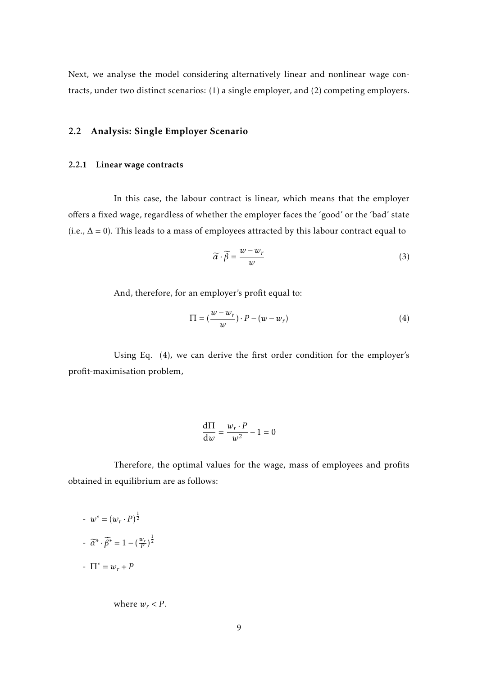Next, we analyse the model considering alternatively linear and nonlinear wage contracts, under two distinct scenarios: (1) a single employer, and (2) competing employers.

## <span id="page-9-1"></span><span id="page-9-0"></span>2.2 Analysis: Single Employer Scenario

### 2.2.1 Linear wage contracts

In this case, the labour contract is linear, which means that the employer offers a fixed wage, regardless of whether the employer faces the 'good' or the 'bad' state (i.e.,  $\Delta = 0$ ). This leads to a mass of employees attracted by this labour contract equal to

$$
\widetilde{\alpha} \cdot \widetilde{\beta} = \frac{w - w_r}{w} \tag{3}
$$

And, therefore, for an employer's profit equal to:

$$
\Pi = \left(\frac{w - w_r}{w}\right) \cdot P - \left(w - w_r\right) \tag{4}
$$

Using Eq. (4), we can derive the first order condition for the employer's profit-maximisation problem,

$$
\frac{\mathrm{d}\Pi}{\mathrm{d}w} = \frac{w_r \cdot P}{w^2} - 1 = 0
$$

Therefore, the optimal values for the wage, mass of employees and profits obtained in equilibrium are as follows:

$$
w^* = (w_r \cdot P)^{\frac{1}{2}}
$$

$$
= \overline{\alpha}^* \cdot \overline{\beta}^* = 1 - (\frac{w_r}{P})^{\frac{1}{2}}
$$

$$
= \Pi^* = w_r + P
$$

where  $w_r < P$ .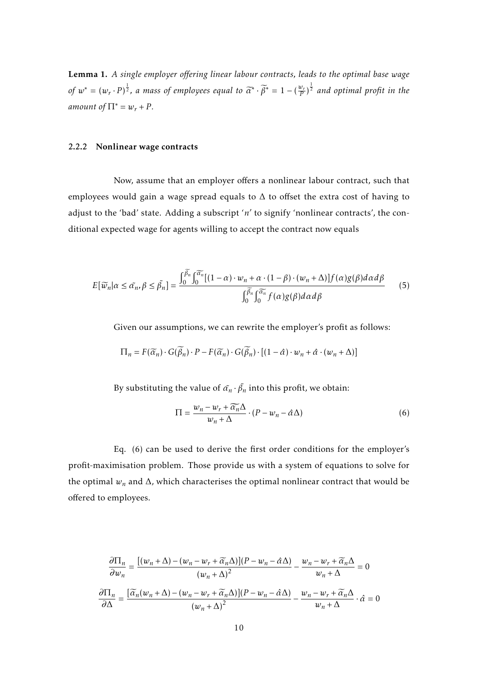Lemma 1. *A single employer offering linear labour contracts, leads to the optimal base wage of*  $w^* = (w_r \cdot P)^{\frac{1}{2}}$ , a mass of employees equal to  $\widetilde{\alpha}^* \cdot \widetilde{\beta}^* = 1 - (\frac{w_r}{P})^{\frac{1}{2}}$  and optimal profit in the *amount of*  $\Pi^* = w_r + P$ .

#### <span id="page-10-0"></span>2.2.2 Nonlinear wage contracts

Now, assume that an employer offers a nonlinear labour contract, such that employees would gain a wage spread equals to ∆ to offset the extra cost of having to adjust to the 'bad' state. Adding a subscript 'n' to signify 'nonlinear contracts', the conditional expected wage for agents willing to accept the contract now equals

$$
E[\widetilde{w}_n | \alpha \le \widetilde{\alpha}_n, \beta \le \widetilde{\beta}_n] = \frac{\int_0^{\widetilde{\beta}_n} \int_0^{\widetilde{\alpha}_n} [(1-\alpha) \cdot w_n + \alpha \cdot (1-\beta) \cdot (w_n + \Delta)] f(\alpha) g(\beta) d\alpha d\beta}{\int_0^{\widetilde{\beta}_n} \int_0^{\widetilde{\alpha}_n} f(\alpha) g(\beta) d\alpha d\beta} \tag{5}
$$

Given our assumptions, we can rewrite the employer's profit as follows:

$$
\Pi_n = F(\widetilde{\alpha}_n) \cdot G(\widetilde{\beta}_n) \cdot P - F(\widetilde{\alpha}_n) \cdot G(\widetilde{\beta}_n) \cdot \left[ (1 - \hat{\alpha}) \cdot w_n + \hat{\alpha} \cdot (w_n + \Delta) \right]
$$

By substituting the value of  $\tilde{\alpha_n} \cdot \tilde{\beta_n}$  into this profit, we obtain:

$$
\Pi = \frac{w_n - w_r + \widetilde{\alpha_n} \Delta}{w_n + \Delta} \cdot (P - w_n - \hat{\alpha} \Delta) \tag{6}
$$

Eq. (6) can be used to derive the first order conditions for the employer's profit-maximisation problem. Those provide us with a system of equations to solve for the optimal  $w_n$  and  $\Delta$ , which characterises the optimal nonlinear contract that would be offered to employees.

$$
\frac{\partial \Pi_n}{\partial w_n} = \frac{\left[ (w_n + \Delta) - (w_n - w_r + \widetilde{\alpha}_n \Delta) \right] (P - w_n - \hat{\alpha} \Delta)}{(w_n + \Delta)^2} - \frac{w_n - w_r + \widetilde{\alpha}_n \Delta}{w_n + \Delta} = 0
$$

$$
\frac{\partial \Pi_n}{\partial \Delta} = \frac{\left[ \widetilde{\alpha}_n (w_n + \Delta) - (w_n - w_r + \widetilde{\alpha}_n \Delta) \right] (P - w_n - \hat{\alpha} \Delta)}{(w_n + \Delta)^2} - \frac{w_n - w_r + \widetilde{\alpha}_n \Delta}{w_n + \Delta} \cdot \hat{\alpha} = 0
$$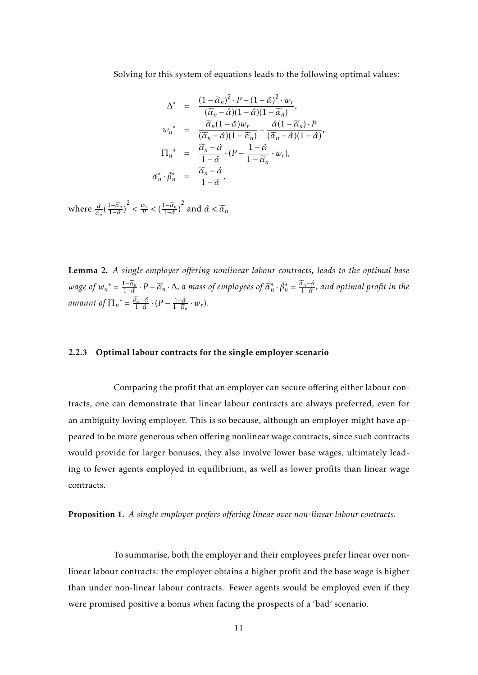Solving for this system of equations leads to the following optimal values:

$$
\Delta^* = \frac{(1 - \widetilde{\alpha}_n)^2 \cdot P - (1 - \hat{\alpha})^2 \cdot w_r}{(\widetilde{\alpha}_n - \hat{\alpha})(1 - \hat{\alpha})(1 - \widetilde{\alpha}_n)},
$$
\n
$$
w_n^* = \frac{\widetilde{\alpha}_n (1 - \hat{\alpha}) w_r}{(\widetilde{\alpha}_n - \hat{\alpha})(1 - \widetilde{\alpha}_n)} - \frac{\hat{\alpha}(1 - \widetilde{\alpha}_n) \cdot P}{(\widetilde{\alpha}_n - \hat{\alpha})(1 - \hat{\alpha})},
$$
\n
$$
\Pi_n^* = \frac{\widetilde{\alpha}_n - \hat{\alpha}}{1 - \hat{\alpha}} \cdot (P - \frac{1 - \hat{\alpha}}{1 - \widetilde{\alpha}_n} \cdot w_r),
$$
\n
$$
\tilde{\alpha}_n^* \cdot \tilde{\beta}_n^* = \frac{\widetilde{\alpha}_n - \hat{\alpha}}{1 - \hat{\alpha}},
$$

where *<sup>α</sup>*<sup>ˆ</sup>  $\frac{\hat{\alpha}}{\hat{\alpha}_n} \left( \frac{1 - \widetilde{\alpha}_n}{1 - \hat{\alpha}} \right)^2 < \frac{w_r}{P} < \left( \frac{1 - \widetilde{\alpha}_n}{1 - \hat{\alpha}} \right)^2$  and  $\hat{\alpha} < \widetilde{\alpha}_n$ 

Lemma 2. *A single employer offering nonlinear labour contracts, leads to the optimal base* wage of  $w_n^* = \frac{1-\widetilde{\alpha}_n}{1-\hat{\alpha}} \cdot P - \widetilde{\alpha}_n \cdot \Delta$ , a mass of employees of  $\widetilde{\alpha}_n^* \cdot \widetilde{\beta}_n^* = \frac{\widetilde{\alpha}_n - \hat{\alpha}}{1-\hat{\alpha}}$ , and optimal profit in the *amount of*  $\Pi_n^* = \frac{\widetilde{\alpha}_n - \hat{\alpha}}{1 - \hat{\alpha}} \cdot (P - \frac{1 - \hat{\alpha}}{1 - \widetilde{\alpha}_1})$  $rac{1-\hat{\alpha}}{1-\widetilde{\alpha}_n}\cdot w_r$ ).

### <span id="page-11-0"></span>2.2.3 Optimal labour contracts for the single employer scenario

Comparing the profit that an employer can secure offering either labour contracts, one can demonstrate that linear labour contracts are always preferred, even for an ambiguity loving employer. This is so because, although an employer might have appeared to be more generous when offering nonlinear wage contracts, since such contracts would provide for larger bonuses, they also involve lower base wages, ultimately leading to fewer agents employed in equilibrium, as well as lower profits than linear wage contracts.

Proposition 1. *A single employer prefers offering linear over non-linear labour contracts.*

To summarise, both the employer and their employees prefer linear over nonlinear labour contracts: the employer obtains a higher profit and the base wage is higher than under non-linear labour contracts. Fewer agents would be employed even if they were promised positive a bonus when facing the prospects of a 'bad' scenario.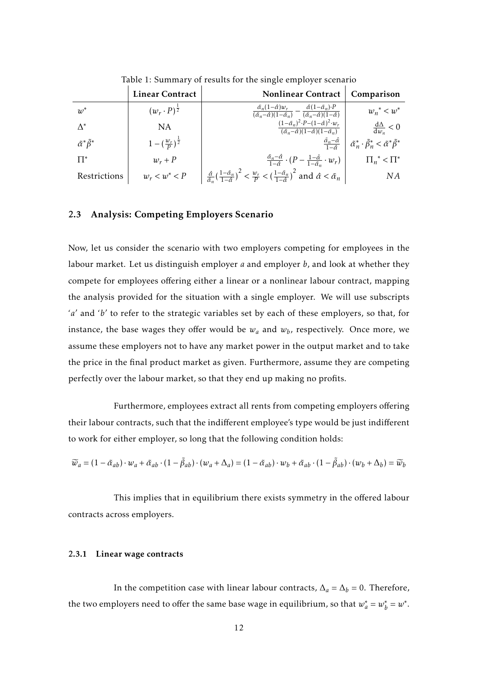|                                    | <b>Linear Contract</b>            | <b>Nonlinear Contract</b>                                                                                                                                                                                                                    | Comparison                                                                                     |
|------------------------------------|-----------------------------------|----------------------------------------------------------------------------------------------------------------------------------------------------------------------------------------------------------------------------------------------|------------------------------------------------------------------------------------------------|
| $w^*$                              | $(w_r \cdot P)^{\frac{1}{2}}$     | $\tilde{\alpha}_n(1-\hat{\alpha})w_r$<br>$\frac{\tilde{\alpha}_n(1-\hat{\alpha})w_r}{(\tilde{\alpha}_n-\hat{\alpha})(1-\tilde{\alpha}_n)} - \frac{\hat{\alpha}(1-\tilde{\alpha}_n)\cdot P}{(\tilde{\alpha}_n-\hat{\alpha})(1-\hat{\alpha})}$ | $w_n^*$ < $w^*$                                                                                |
| $\Lambda^*$                        | <b>NA</b>                         | $(1-\tilde{\alpha}_n)^2 \cdot P - (1-\hat{\alpha})^2 \cdot w_r$<br>$(\tilde{\alpha}_n-\hat{\alpha})(1-\hat{\alpha})(1-\tilde{\alpha}_n)$                                                                                                     | $\frac{d\Delta}{dw} < 0$                                                                       |
| $\tilde{\alpha}^* \tilde{\beta}^*$ | $1-(\frac{w_r}{R})^{\frac{1}{2}}$ | $\frac{\tilde{\alpha}_n-\hat{\alpha}}{1-\hat{\alpha}}$                                                                                                                                                                                       | $\left  \tilde{\alpha}_n^* \cdot \tilde{\beta}_n^* \right  < \tilde{\alpha}^* \tilde{\beta}^*$ |
| $\Pi^*$                            | $w_r + P$                         | $\frac{\tilde{\alpha}_n-\tilde{\alpha}}{1-\tilde{\alpha}}\cdot(P-\frac{1-\tilde{\alpha}}{1-\tilde{\alpha}_n}\cdot w_r)$                                                                                                                      | $\prod_{n}^*$ < $\prod^*$                                                                      |
| Restrictions                       | $w_r < w^* < P$                   | $\frac{\hat{\alpha}}{\hat{\alpha}_n} \left( \frac{1-\tilde{\alpha}_n}{1-\hat{\alpha}} \right)^2 < \frac{w_r}{P} < \left( \frac{1-\tilde{\alpha}_n}{1-\hat{\alpha}} \right)^2$ and $\hat{\alpha} < \tilde{\alpha}_n$                          | ΝA                                                                                             |

Table 1: Summary of results for the single employer scenario

### <span id="page-12-0"></span>2.3 Analysis: Competing Employers Scenario

Now, let us consider the scenario with two employers competing for employees in the labour market. Let us distinguish employer *a* and employer *b*, and look at whether they compete for employees offering either a linear or a nonlinear labour contract, mapping the analysis provided for the situation with a single employer. We will use subscripts 'a' and 'b' to refer to the strategic variables set by each of these employers, so that, for instance, the base wages they offer would be  $w_a$  and  $w_b$ , respectively. Once more, we assume these employers not to have any market power in the output market and to take the price in the final product market as given. Furthermore, assume they are competing perfectly over the labour market, so that they end up making no profits.

Furthermore, employees extract all rents from competing employers offering their labour contracts, such that the indifferent employee's type would be just indifferent to work for either employer, so long that the following condition holds:

$$
\widetilde{w}_a = (1 - \widetilde{\alpha}_{ab}) \cdot w_a + \widetilde{\alpha}_{ab} \cdot (1 - \widetilde{\beta}_{ab}) \cdot (w_a + \Delta_a) = (1 - \widetilde{\alpha}_{ab}) \cdot w_b + \widetilde{\alpha}_{ab} \cdot (1 - \widetilde{\beta}_{ab}) \cdot (w_b + \Delta_b) = \widetilde{w}_b
$$

This implies that in equilibrium there exists symmetry in the offered labour contracts across employers.

### <span id="page-12-1"></span>2.3.1 Linear wage contracts

In the competition case with linear labour contracts,  $\Delta_a = \Delta_b = 0$ . Therefore, the two employers need to offer the same base wage in equilibrium, so that  $w_a^* = w_b^*$  $b^* = w^*$ .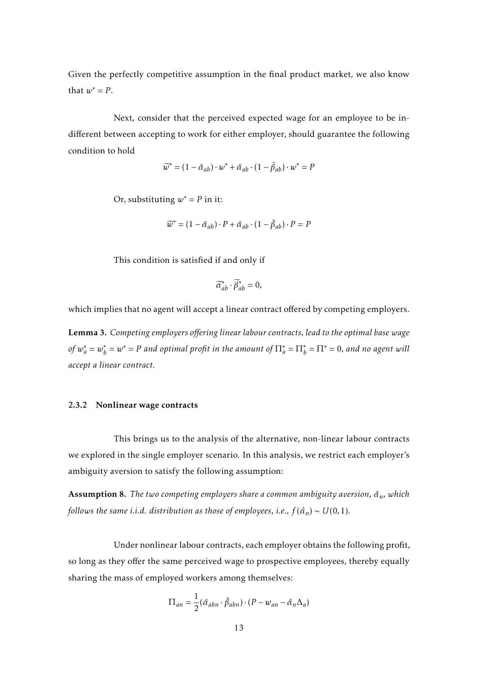Given the perfectly competitive assumption in the final product market, we also know that  $w^* = P$ .

Next, consider that the perceived expected wage for an employee to be indifferent between accepting to work for either employer, should guarantee the following condition to hold

$$
\widetilde{w}^* = (1 - \widetilde{\alpha}_{ab}) \cdot w^* + \widetilde{\alpha}_{ab} \cdot (1 - \widetilde{\beta}_{ab}) \cdot w^* = P
$$

Or, substituting  $w^* = P$  in it:

$$
\widetilde{w}^* = (1 - \widetilde{\alpha}_{ab}) \cdot P + \widetilde{\alpha}_{ab} \cdot (1 - \widetilde{\beta}_{ab}) \cdot P = P
$$

This condition is satisfied if and only if

$$
\widetilde{\alpha}_{ab}^* \cdot \widetilde{\beta}_{ab}^* = 0,
$$

which implies that no agent will accept a linear contract offered by competing employers.

Lemma 3. *Competing employers offering linear labour contracts, lead to the optimal base wage of*  $w_a^* = w_b^*$  $b^*_b = w^* = P$  and optimal profit in the amount of  $\Pi^*_a = \Pi^*_b = \Pi^* = 0$ , and no agent will *accept a linear contract.*

#### <span id="page-13-0"></span>2.3.2 Nonlinear wage contracts

This brings us to the analysis of the alternative, non-linear labour contracts we explored in the single employer scenario. In this analysis, we restrict each employer's ambiguity aversion to satisfy the following assumption:

Assumption 8. *The two competing employers share a common ambiguity aversion, α*ˆ*n, which follows the same i.i.d. distribution as those of employees, i.e.,*  $f(\hat{\alpha}_n) \sim U(0,1)$ *.* 

Under nonlinear labour contracts, each employer obtains the following profit, so long as they offer the same perceived wage to prospective employees, thereby equally sharing the mass of employed workers among themselves:

$$
\Pi_{an} = \frac{1}{2} (\tilde{\alpha}_{abn} \cdot \tilde{\beta}_{abn}) \cdot (P - w_{an} - \hat{\alpha}_n \Delta_a)
$$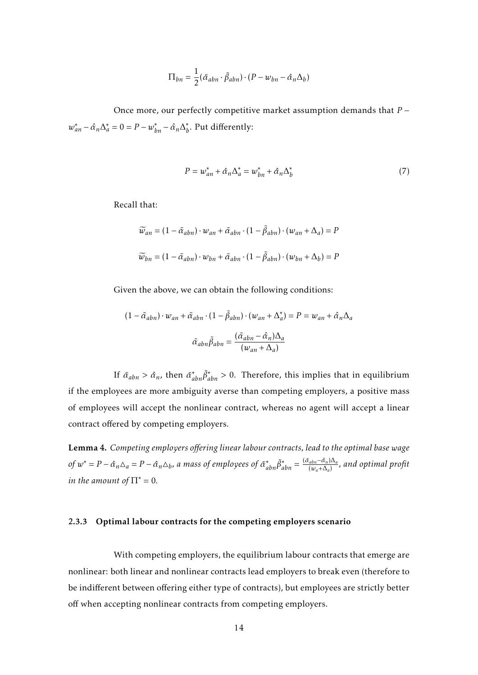$$
\Pi_{bn} = \frac{1}{2} (\tilde{\alpha}_{abn} \cdot \tilde{\beta}_{abn}) \cdot (P - w_{bn} - \hat{\alpha}_n \Delta_b)
$$

Once more, our perfectly competitive market assumption demands that *P* −  $w_{an}^* - \hat{\alpha}_n \Delta_a^* = 0 = P - w_{bn}^* - \hat{\alpha}_n \Delta_b^*$ *b* . Put differently:

$$
P = w_{an}^* + \hat{\alpha}_n \Delta_a^* = w_{bn}^* + \hat{\alpha}_n \Delta_b^* \tag{7}
$$

Recall that:

$$
\widetilde{w}_{an} = (1 - \widetilde{\alpha}_{abn}) \cdot w_{an} + \widetilde{\alpha}_{abn} \cdot (1 - \widetilde{\beta}_{abn}) \cdot (w_{an} + \Delta_a) = P
$$
  

$$
\widetilde{w}_{bn} = (1 - \widetilde{\alpha}_{abn}) \cdot w_{bn} + \widetilde{\alpha}_{abn} \cdot (1 - \widetilde{\beta}_{abn}) \cdot (w_{bn} + \Delta_b) = P
$$

Given the above, we can obtain the following conditions:

$$
(1 - \tilde{\alpha}_{abn}) \cdot w_{an} + \tilde{\alpha}_{abn} \cdot (1 - \tilde{\beta}_{abn}) \cdot (w_{an} + \Delta_a^*) = P = w_{an} + \hat{\alpha}_n \Delta_a
$$

$$
\tilde{\alpha}_{abn} \tilde{\beta}_{abn} = \frac{(\tilde{\alpha}_{abn} - \hat{\alpha}_n)\Delta_a}{(w_{an} + \Delta_a)}
$$

If  $\tilde{\alpha}_{abn} > \hat{\alpha}_n$ , then  $\tilde{\alpha}_{abn}^* \tilde{\beta}_{abn}^* > 0$ . Therefore, this implies that in equilibrium if the employees are more ambiguity averse than competing employers, a positive mass of employees will accept the nonlinear contract, whereas no agent will accept a linear contract offered by competing employers.

Lemma 4. *Competing employers offering linear labour contracts, lead to the optimal base wage*  $\partial f w^* = P - \hat{\alpha}_n \Delta_a = P - \hat{\alpha}_n \Delta_b$ , a mass of employees of  $\tilde{\alpha}_{abn}^* \tilde{\beta}_{abn}^* = \frac{(\tilde{\alpha}_{abn} - \hat{\alpha}_n) \Delta_a}{(w_a + \Delta_a)}$ (*wa*+∆*<sup>a</sup>* ) *, and optimal profit in the amount of*  $\Pi^* = 0$ *.* 

### <span id="page-14-0"></span>2.3.3 Optimal labour contracts for the competing employers scenario

With competing employers, the equilibrium labour contracts that emerge are nonlinear: both linear and nonlinear contracts lead employers to break even (therefore to be indifferent between offering either type of contracts), but employees are strictly better off when accepting nonlinear contracts from competing employers.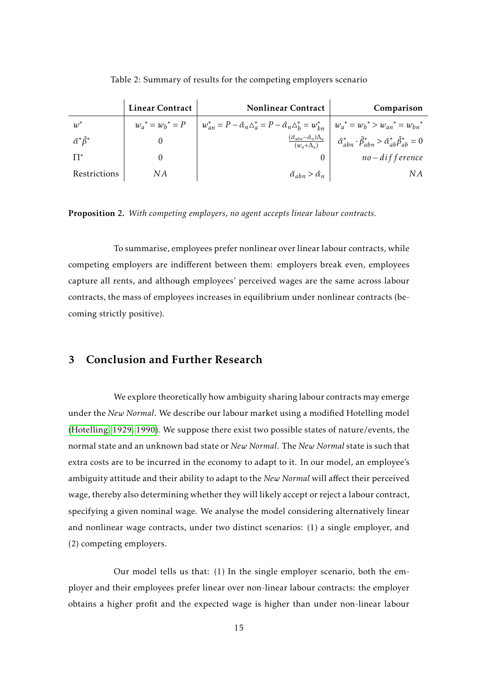|                                    | <b>Linear Contract</b> | <b>Nonlinear Contract</b>                                                                                                    | Comparison                                                                                            |
|------------------------------------|------------------------|------------------------------------------------------------------------------------------------------------------------------|-------------------------------------------------------------------------------------------------------|
| $w^*$                              | $w_a^* = w_b^* = P$    | $ w_{an}^* = P - \hat{\alpha}_n \Delta_a^* = P - \hat{\alpha}_n \Delta_b^* = w_{bn}^*   w_a^* = w_b^* > w_{an}^* = w_{bn}^*$ |                                                                                                       |
| $\tilde{\alpha}^* \tilde{\beta}^*$ |                        | $\frac{(\tilde{\alpha}_{abn}-\hat{\alpha}_n)\Delta_a}{(w_a+\Delta_a)}$                                                       | $\tilde{\alpha}_{abn}^* \cdot \tilde{\beta}_{abn}^* > \tilde{\alpha}_{ab}^* \tilde{\beta}_{ab}^* = 0$ |
| $\mathsf{\Pi}^*$                   |                        |                                                                                                                              | $no$ – difference                                                                                     |
| Restrictions                       | N A                    | $\tilde{\alpha}_{abn} > \hat{\alpha}_n$                                                                                      | NА                                                                                                    |

Table 2: Summary of results for the competing employers scenario

Proposition 2. *With competing employers, no agent accepts linear labour contracts.*

To summarise, employees prefer nonlinear over linear labour contracts, while competing employers are indifferent between them: employers break even, employees capture all rents, and although employees' perceived wages are the same across labour contracts, the mass of employees increases in equilibrium under nonlinear contracts (becoming strictly positive).

## <span id="page-15-0"></span>3 Conclusion and Further Research

We explore theoretically how ambiguity sharing labour contracts may emerge under the *New Normal*. We describe our labour market using a modified Hotelling model [\(Hotelling, 1929,](#page-18-11) [1990\)](#page-18-12). We suppose there exist two possible states of nature/events, the normal state and an unknown bad state or *New Normal*. The *New Normal* state is such that extra costs are to be incurred in the economy to adapt to it. In our model, an employee's ambiguity attitude and their ability to adapt to the *New Normal* will affect their perceived wage, thereby also determining whether they will likely accept or reject a labour contract, specifying a given nominal wage. We analyse the model considering alternatively linear and nonlinear wage contracts, under two distinct scenarios: (1) a single employer, and (2) competing employers.

Our model tells us that: (1) In the single employer scenario, both the employer and their employees prefer linear over non-linear labour contracts: the employer obtains a higher profit and the expected wage is higher than under non-linear labour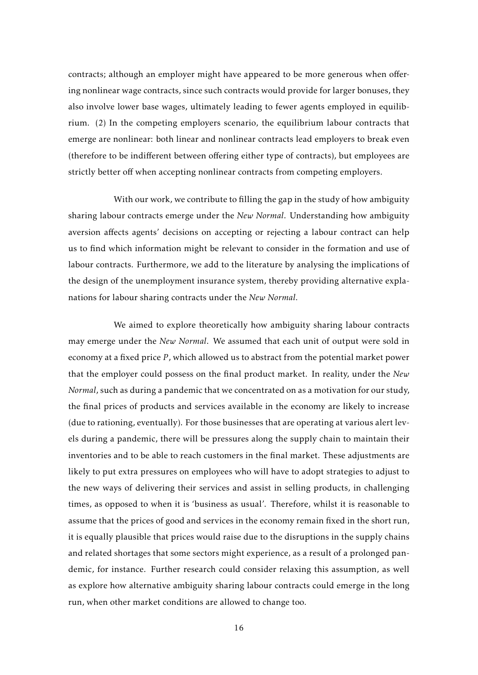contracts; although an employer might have appeared to be more generous when offering nonlinear wage contracts, since such contracts would provide for larger bonuses, they also involve lower base wages, ultimately leading to fewer agents employed in equilibrium. (2) In the competing employers scenario, the equilibrium labour contracts that emerge are nonlinear: both linear and nonlinear contracts lead employers to break even (therefore to be indifferent between offering either type of contracts), but employees are strictly better off when accepting nonlinear contracts from competing employers.

With our work, we contribute to filling the gap in the study of how ambiguity sharing labour contracts emerge under the *New Normal*. Understanding how ambiguity aversion affects agents' decisions on accepting or rejecting a labour contract can help us to find which information might be relevant to consider in the formation and use of labour contracts. Furthermore, we add to the literature by analysing the implications of the design of the unemployment insurance system, thereby providing alternative explanations for labour sharing contracts under the *New Normal*.

We aimed to explore theoretically how ambiguity sharing labour contracts may emerge under the *New Normal*. We assumed that each unit of output were sold in economy at a fixed price *P* , which allowed us to abstract from the potential market power that the employer could possess on the final product market. In reality, under the *New Normal*, such as during a pandemic that we concentrated on as a motivation for our study, the final prices of products and services available in the economy are likely to increase (due to rationing, eventually). For those businesses that are operating at various alert levels during a pandemic, there will be pressures along the supply chain to maintain their inventories and to be able to reach customers in the final market. These adjustments are likely to put extra pressures on employees who will have to adopt strategies to adjust to the new ways of delivering their services and assist in selling products, in challenging times, as opposed to when it is 'business as usual'. Therefore, whilst it is reasonable to assume that the prices of good and services in the economy remain fixed in the short run, it is equally plausible that prices would raise due to the disruptions in the supply chains and related shortages that some sectors might experience, as a result of a prolonged pandemic, for instance. Further research could consider relaxing this assumption, as well as explore how alternative ambiguity sharing labour contracts could emerge in the long run, when other market conditions are allowed to change too.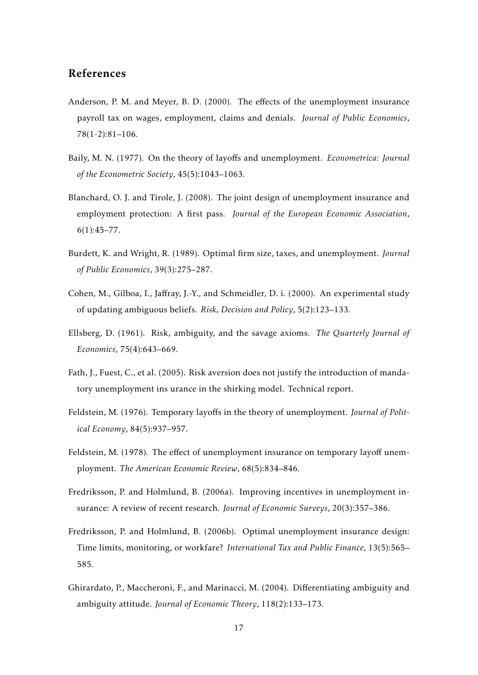## References

- <span id="page-17-3"></span>Anderson, P. M. and Meyer, B. D. (2000). The effects of the unemployment insurance payroll tax on wages, employment, claims and denials. *Journal of Public Economics*, 78(1-2):81–106.
- <span id="page-17-7"></span>Baily, M. N. (1977). On the theory of layoffs and unemployment. *Econometrica: Journal of the Econometric Society*, 45(5):1043–1063.
- <span id="page-17-6"></span>Blanchard, O. J. and Tirole, J. (2008). The joint design of unemployment insurance and employment protection: A first pass. *Journal of the European Economic Association*, 6(1):45–77.
- <span id="page-17-8"></span>Burdett, K. and Wright, R. (1989). Optimal firm size, taxes, and unemployment. *Journal of Public Economics*, 39(3):275–287.
- <span id="page-17-10"></span>Cohen, M., Gilboa, I., Jaffray, J.-Y., and Schmeidler, D. i. (2000). An experimental study of updating ambiguous beliefs. *Risk, Decision and Policy*, 5(2):123–133.
- <span id="page-17-9"></span>Ellsberg, D. (1961). Risk, ambiguity, and the savage axioms. *The Quarterly Journal of Economics*, 75(4):643–669.
- <span id="page-17-4"></span>Fath, J., Fuest, C., et al. (2005). Risk aversion does not justify the introduction of mandatory unemployment ins urance in the shirking model. Technical report.
- <span id="page-17-1"></span>Feldstein, M. (1976). Temporary layoffs in the theory of unemployment. *Journal of Political Economy*, 84(5):937–957.
- <span id="page-17-2"></span>Feldstein, M. (1978). The effect of unemployment insurance on temporary layoff unemployment. *The American Economic Review*, 68(5):834–846.
- <span id="page-17-0"></span>Fredriksson, P. and Holmlund, B. (2006a). Improving incentives in unemployment insurance: A review of recent research. *Journal of Economic Surveys*, 20(3):357–386.
- <span id="page-17-5"></span>Fredriksson, P. and Holmlund, B. (2006b). Optimal unemployment insurance design: Time limits, monitoring, or workfare? *International Tax and Public Finance*, 13(5):565– 585.
- <span id="page-17-11"></span>Ghirardato, P., Maccheroni, F., and Marinacci, M. (2004). Differentiating ambiguity and ambiguity attitude. *Journal of Economic Theory*, 118(2):133–173.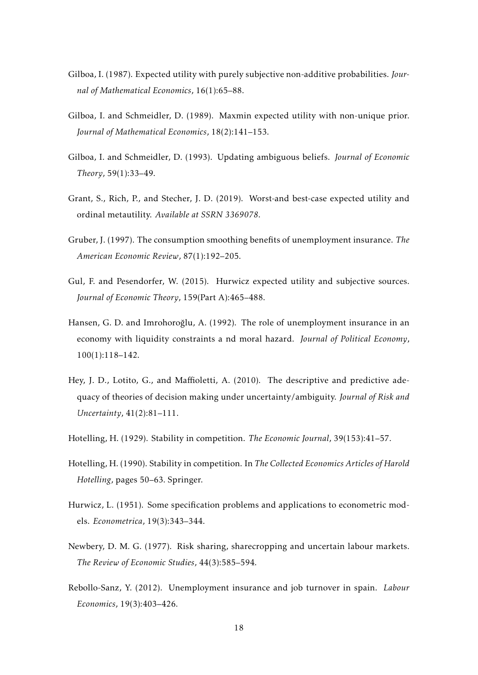- <span id="page-18-6"></span>Gilboa, I. (1987). Expected utility with purely subjective non-additive probabilities. *Journal of Mathematical Economics*, 16(1):65–88.
- <span id="page-18-4"></span>Gilboa, I. and Schmeidler, D. (1989). Maxmin expected utility with non-unique prior. *Journal of Mathematical Economics*, 18(2):141–153.
- <span id="page-18-5"></span>Gilboa, I. and Schmeidler, D. (1993). Updating ambiguous beliefs. *Journal of Economic Theory*, 59(1):33–49.
- <span id="page-18-10"></span>Grant, S., Rich, P., and Stecher, J. D. (2019). Worst-and best-case expected utility and ordinal metautility. *Available at SSRN 3369078*.
- <span id="page-18-1"></span>Gruber, J. (1997). The consumption smoothing benefits of unemployment insurance. *The American Economic Review*, 87(1):192–205.
- <span id="page-18-9"></span>Gul, F. and Pesendorfer, W. (2015). Hurwicz expected utility and subjective sources. *Journal of Economic Theory*, 159(Part A):465–488.
- <span id="page-18-0"></span>Hansen, G. D. and Imrohoroğlu, A. (1992). The role of unemployment insurance in an economy with liquidity constraints a nd moral hazard. *Journal of Political Economy*, 100(1):118–142.
- <span id="page-18-8"></span>Hey, J. D., Lotito, G., and Maffioletti, A. (2010). The descriptive and predictive adequacy of theories of decision making under uncertainty/ambiguity. *Journal of Risk and Uncertainty*, 41(2):81–111.
- <span id="page-18-11"></span>Hotelling, H. (1929). Stability in competition. *The Economic Journal*, 39(153):41–57.
- <span id="page-18-12"></span>Hotelling, H. (1990). Stability in competition. In *The Collected Economics Articles of Harold Hotelling*, pages 50–63. Springer.
- <span id="page-18-7"></span>Hurwicz, L. (1951). Some specification problems and applications to econometric models. *Econometrica*, 19(3):343–344.
- <span id="page-18-3"></span>Newbery, D. M. G. (1977). Risk sharing, sharecropping and uncertain labour markets. *The Review of Economic Studies*, 44(3):585–594.
- <span id="page-18-2"></span>Rebollo-Sanz, Y. (2012). Unemployment insurance and job turnover in spain. *Labour Economics*, 19(3):403–426.